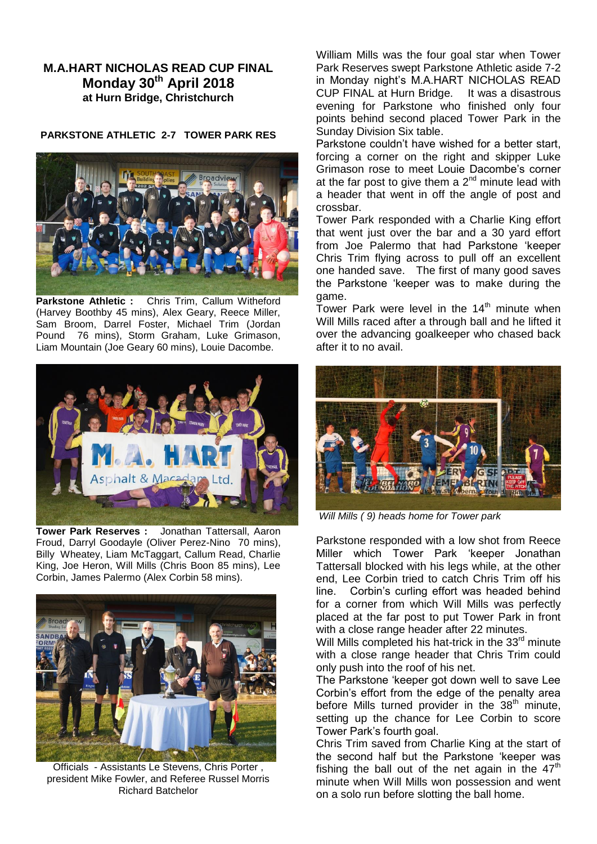## **M.A.HART NICHOLAS READ CUP FINAL Monday 30th April 2018 at Hurn Bridge, Christchurch**

## **PARKSTONE ATHLETIC 2-7 TOWER PARK RES**



**Parkstone Athletic :** Chris Trim, Callum Witheford (Harvey Boothby 45 mins), Alex Geary, Reece Miller, Sam Broom, Darrel Foster, Michael Trim (Jordan Pound 76 mins), Storm Graham, Luke Grimason, Liam Mountain (Joe Geary 60 mins), Louie Dacombe.



**Tower Park Reserves :** Jonathan Tattersall, Aaron Froud, Darryl Goodayle (Oliver Perez-Nino 70 mins), Billy Wheatey, Liam McTaggart, Callum Read, Charlie King, Joe Heron, Will Mills (Chris Boon 85 mins), Lee Corbin, James Palermo (Alex Corbin 58 mins).



Officials - Assistants Le Stevens, Chris Porter , president Mike Fowler, and Referee Russel Morris Richard Batchelor

William Mills was the four goal star when Tower Park Reserves swept Parkstone Athletic aside 7-2 in Monday night's M.A.HART NICHOLAS READ CUP FINAL at Hurn Bridge. It was a disastrous evening for Parkstone who finished only four points behind second placed Tower Park in the Sunday Division Six table.

Parkstone couldn't have wished for a better start, forcing a corner on the right and skipper Luke Grimason rose to meet Louie Dacombe's corner at the far post to give them a  $2^{nd}$  minute lead with a header that went in off the angle of post and crossbar.

Tower Park responded with a Charlie King effort that went just over the bar and a 30 yard effort from Joe Palermo that had Parkstone 'keeper Chris Trim flying across to pull off an excellent one handed save. The first of many good saves the Parkstone 'keeper was to make during the game.

Tower Park were level in the  $14<sup>th</sup>$  minute when Will Mills raced after a through ball and he lifted it over the advancing goalkeeper who chased back after it to no avail.



*Will Mills ( 9) heads home for Tower park*

Parkstone responded with a low shot from Reece Miller which Tower Park 'keeper Jonathan Tattersall blocked with his legs while, at the other end, Lee Corbin tried to catch Chris Trim off his line. Corbin's curling effort was headed behind for a corner from which Will Mills was perfectly placed at the far post to put Tower Park in front with a close range header after 22 minutes.

Will Mills completed his hat-trick in the  $33<sup>rd</sup>$  minute with a close range header that Chris Trim could only push into the roof of his net.

The Parkstone 'keeper got down well to save Lee Corbin's effort from the edge of the penalty area before Mills turned provider in the  $38<sup>th</sup>$  minute, setting up the chance for Lee Corbin to score Tower Park's fourth goal.

Chris Trim saved from Charlie King at the start of the second half but the Parkstone 'keeper was fishing the ball out of the net again in the  $47<sup>th</sup>$ minute when Will Mills won possession and went on a solo run before slotting the ball home.